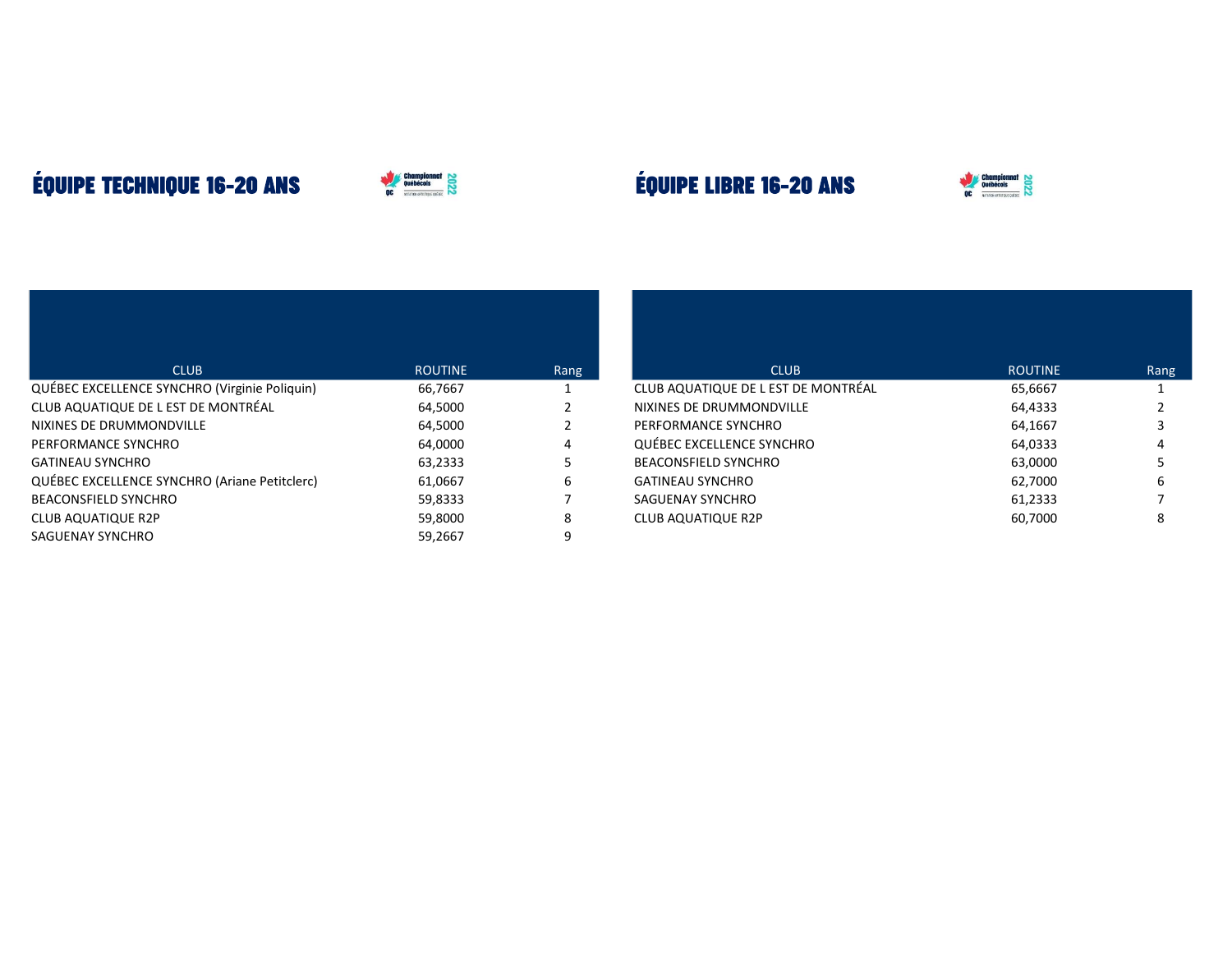## **ÉQUIPE TECHNIQUE 16-20 ANS**



## **ÉQUIPE LIBRE 16-20 ANS**



| <b>CLUB</b>                                   | <b>ROUTINE</b> | Rang |
|-----------------------------------------------|----------------|------|
| QUÉBEC EXCELLENCE SYNCHRO (Virginie Poliquin) | 66,7667        | 1    |
| CLUB AQUATIQUE DE L EST DE MONTRÉAL           | 64,5000        | 2    |
| NIXINES DE DRUMMONDVILLE                      | 64,5000        | 2    |
| PERFORMANCE SYNCHRO                           | 64,0000        | 4    |
| <b>GATINEAU SYNCHRO</b>                       | 63,2333        | 5    |
| QUÉBEC EXCELLENCE SYNCHRO (Ariane Petitclerc) | 61,0667        | 6    |
| <b>BEACONSFIELD SYNCHRO</b>                   | 59,8333        |      |
| <b>CLUB AQUATIQUE R2P</b>                     | 59,8000        | 8    |
| SAGUENAY SYNCHRO                              | 59,2667        | 9    |

| <b>CLUB</b>                         | <b>ROUTINE</b> | Rang |
|-------------------------------------|----------------|------|
| CLUB AQUATIQUE DE L EST DE MONTRÉAL | 65,6667        |      |
| NIXINES DE DRUMMONDVILLE            | 64,4333        | 2    |
| PERFORMANCE SYNCHRO                 | 64,1667        | 3    |
| QUÉBEC EXCELLENCE SYNCHRO           | 64,0333        | 4    |
| <b>BEACONSFIELD SYNCHRO</b>         | 63,0000        | 5    |
| <b>GATINEAU SYNCHRO</b>             | 62,7000        | 6    |
| SAGUENAY SYNCHRO                    | 61,2333        |      |
| <b>CLUB AQUATIQUE R2P</b>           | 60,7000        | 8    |